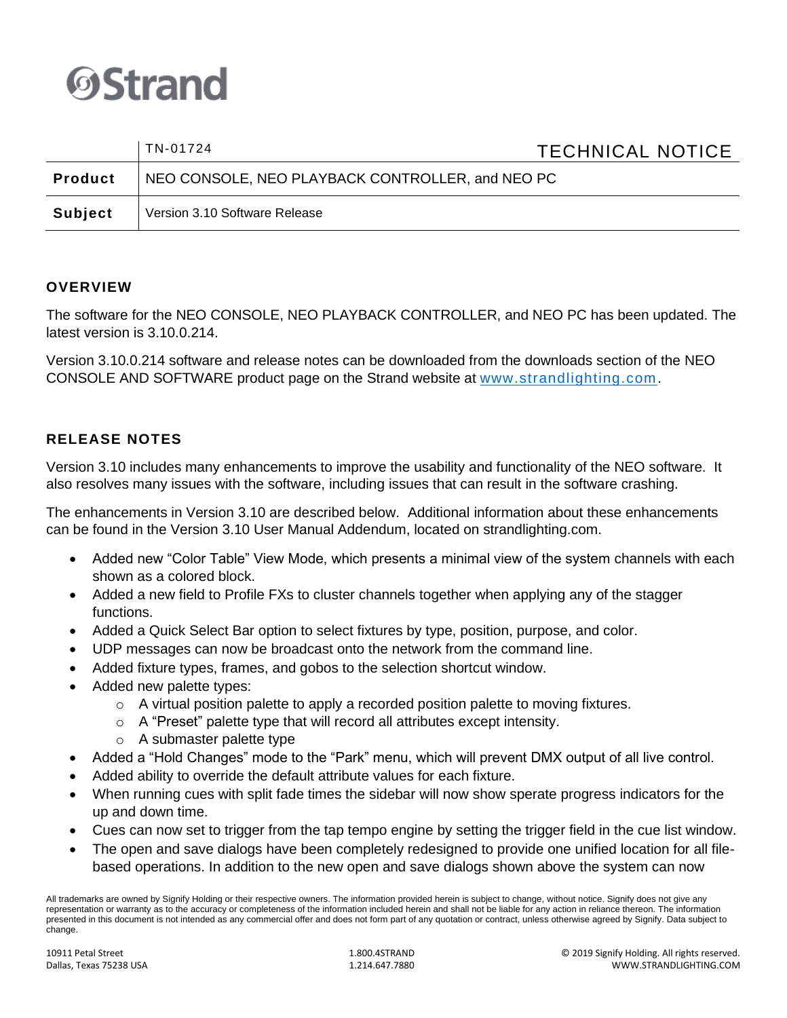

|                | TN-01724                                         | <b>TECHNICAL NOTICE</b> |
|----------------|--------------------------------------------------|-------------------------|
| <b>Product</b> | NEO CONSOLE, NEO PLAYBACK CONTROLLER, and NEO PC |                         |
| <b>Subject</b> | Version 3.10 Software Release                    |                         |

## **OVERVIEW**

The software for the NEO CONSOLE, NEO PLAYBACK CONTROLLER, and NEO PC has been updated. The latest version is 3.10.0.214.

Version 3.10.0.214 software and release notes can be downloaded from the downloads section of the NEO CONSOLE AND SOFTWARE product page on the Strand website at [www.strandlighting.com.](http://www.strandlighting.com/)

### **RELEASE NOTES**

Version 3.10 includes many enhancements to improve the usability and functionality of the NEO software. It also resolves many issues with the software, including issues that can result in the software crashing.

The enhancements in Version 3.10 are described below. Additional information about these enhancements can be found in the Version 3.10 User Manual Addendum, located on strandlighting.com.

- Added new "Color Table" View Mode, which presents a minimal view of the system channels with each shown as a colored block.
- Added a new field to Profile FXs to cluster channels together when applying any of the stagger functions.
- Added a Quick Select Bar option to select fixtures by type, position, purpose, and color.
- UDP messages can now be broadcast onto the network from the command line.
- Added fixture types, frames, and gobos to the selection shortcut window.
- Added new palette types:
	- $\circ$  A virtual position palette to apply a recorded position palette to moving fixtures.
	- o A "Preset" palette type that will record all attributes except intensity.
	- o A submaster palette type
- Added a "Hold Changes" mode to the "Park" menu, which will prevent DMX output of all live control.
- Added ability to override the default attribute values for each fixture.
- When running cues with split fade times the sidebar will now show sperate progress indicators for the up and down time.
- Cues can now set to trigger from the tap tempo engine by setting the trigger field in the cue list window.
- The open and save dialogs have been completely redesigned to provide one unified location for all filebased operations. In addition to the new open and save dialogs shown above the system can now

All trademarks are owned by Signify Holding or their respective owners. The information provided herein is subject to change, without notice. Signify does not give any representation or warranty as to the accuracy or completeness of the information included herein and shall not be liable for any action in reliance thereon. The information presented in this document is not intended as any commercial offer and does not form part of any quotation or contract, unless otherwise agreed by Signify. Data subject to change.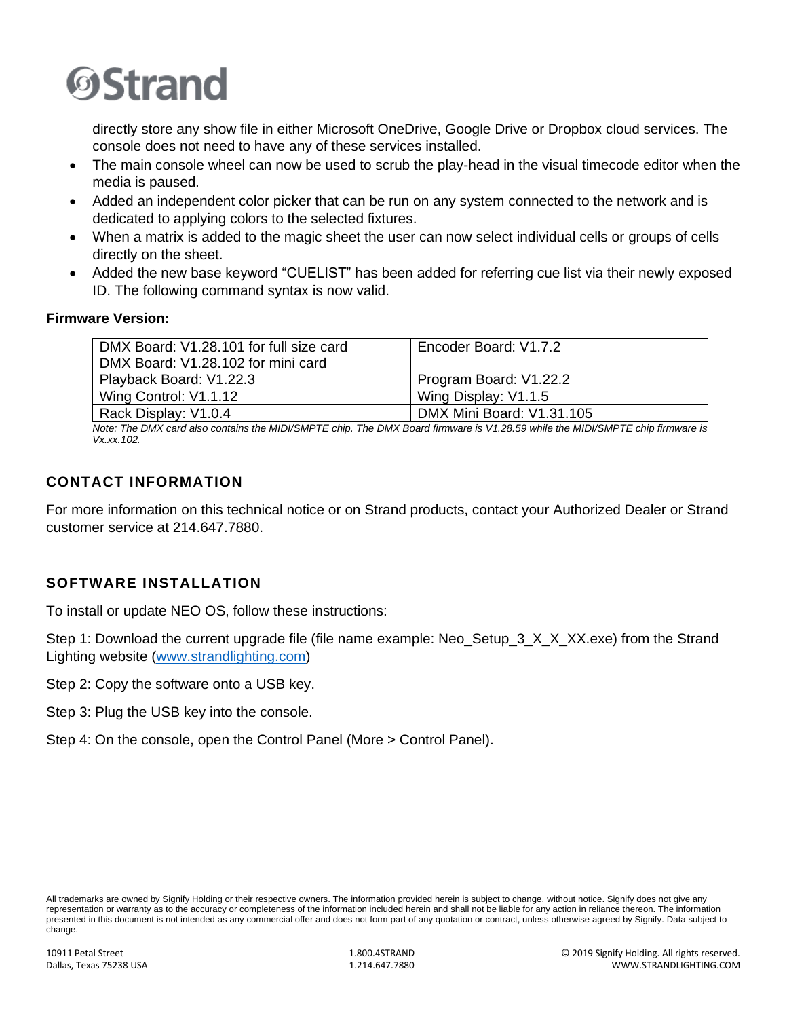

directly store any show file in either Microsoft OneDrive, Google Drive or Dropbox cloud services. The console does not need to have any of these services installed.

- The main console wheel can now be used to scrub the play-head in the visual timecode editor when the media is paused.
- Added an independent color picker that can be run on any system connected to the network and is dedicated to applying colors to the selected fixtures.
- When a matrix is added to the magic sheet the user can now select individual cells or groups of cells directly on the sheet.
- Added the new base keyword "CUELIST" has been added for referring cue list via their newly exposed ID. The following command syntax is now valid.

#### **Firmware Version:**

| DMX Board: V1.28.101 for full size card<br>DMX Board: V1.28.102 for mini card | Encoder Board: V1.7.2     |
|-------------------------------------------------------------------------------|---------------------------|
| Playback Board: V1.22.3                                                       | Program Board: V1.22.2    |
| Wing Control: V1.1.12                                                         | Wing Display: V1.1.5      |
| Rack Display: V1.0.4                                                          | DMX Mini Board: V1.31.105 |

*Note: The DMX card also contains the MIDI/SMPTE chip. The DMX Board firmware is V1.28.59 while the MIDI/SMPTE chip firmware is Vx.xx.102.*

# **CONTACT INFORMATION**

For more information on this technical notice or on Strand products, contact your Authorized Dealer or Strand customer service at 214.647.7880.

### **SOFTWARE INSTALLATION**

To install or update NEO OS, follow these instructions:

Step 1: Download the current upgrade file (file name example: Neo Setup 3 X X XX.exe) from the Strand Lighting website [\(www.strandlighting.com\)](http://www.strandlighting.com/)

Step 2: Copy the software onto a USB key.

Step 3: Plug the USB key into the console.

Step 4: On the console, open the Control Panel (More > Control Panel).

All trademarks are owned by Signify Holding or their respective owners. The information provided herein is subject to change, without notice. Signify does not give any representation or warranty as to the accuracy or completeness of the information included herein and shall not be liable for any action in reliance thereon. The information presented in this document is not intended as any commercial offer and does not form part of any quotation or contract, unless otherwise agreed by Signify. Data subject to change.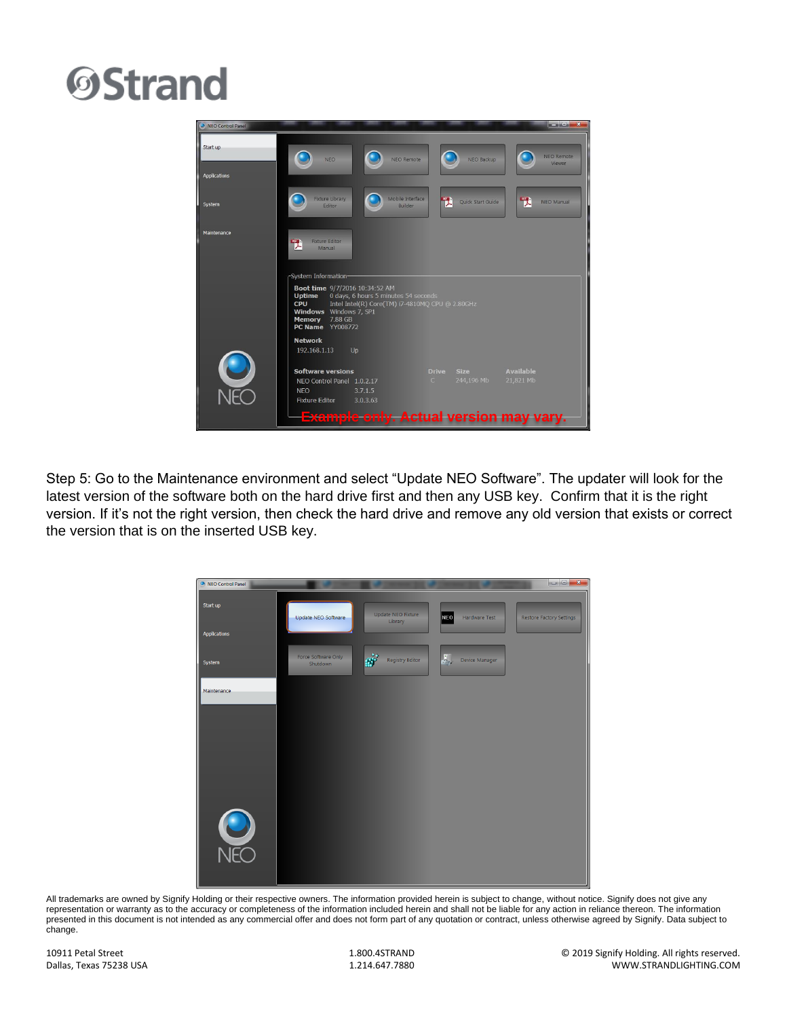# **OStrand**



Step 5: Go to the Maintenance environment and select "Update NEO Software". The updater will look for the latest version of the software both on the hard drive first and then any USB key. Confirm that it is the right version. If it's not the right version, then check the hard drive and remove any old version that exists or correct the version that is on the inserted USB key.



All trademarks are owned by Signify Holding or their respective owners. The information provided herein is subject to change, without notice. Signify does not give any representation or warranty as to the accuracy or completeness of the information included herein and shall not be liable for any action in reliance thereon. The information presented in this document is not intended as any commercial offer and does not form part of any quotation or contract, unless otherwise agreed by Signify. Data subject to change.